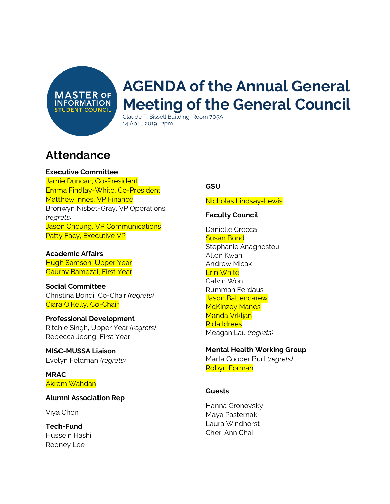**MASTER OF INFORMATION STUDENT COUNCIL** 

# **AGENDA of the Annual General Meeting of the General Council**

Claude T. Bissell Building, Room 705A 14 April, 2019 | 2pm

# **Attendance**

**Executive Committee**

Jamie Duncan, Co-President Emma Findlay-White, Co-President Matthew Innes, VP Finance Bronwyn Nisbet-Gray, VP Operations *(regrets)* Jason Cheung, VP Communications Patty Facy, Executive VP

**Academic Affairs** Hugh Samson, Upper Year Gaurav Bamezai, First Year

**Social Committee** Christina Bondi, Co-Chair *(regrets)* Ciara O'Kelly, Co-Chair

**Professional Development** Ritchie Singh, Upper Year *(regrets)* Rebecca Jeong, First Year

**MISC-MUSSA Liaison** Evelyn Feldman *(regrets)*

**MRAC** Akram Wahdan

**Alumni Association Rep**

Viya Chen

**Tech-Fund** Hussein Hashi Rooney Lee

#### **GSU**

Nicholas Lindsay-Lewis

#### **Faculty Council**

Danielle Crecca **Susan Bond** Stephanie Anagnostou Allen Kwan Andrew Micak Erin White Calvin Won Rumman Ferdaus Jason Battencarew **McKinzey Manes** Manda Vrkljan Rida Idrees Meagan Lau *(regrets)*

#### **Mental Health Working Group**

Marta Cooper Burt *(regrets)* Robyn Forman

#### **Guests**

Hanna Gronovsky Maya Pasternak Laura Windhorst Cher-Ann Chai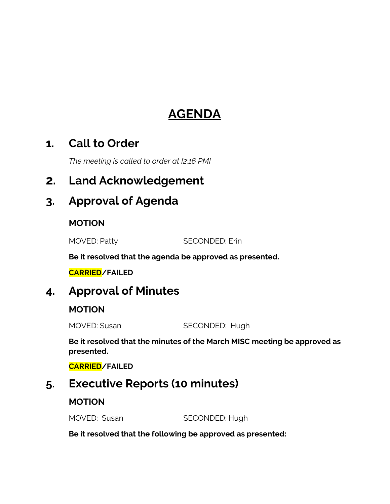# **AGENDA**

### **1. Call to Order**

*The meeting is called to order at [2:16 PM]*

### **2. Land Acknowledgement**

# **3. Approval of Agenda**

### **MOTION**

MOVED: Patty SECONDED: Erin

**Be it resolved that the agenda be approved as presented.**

**CARRIED/FAILED**

### **4. Approval of Minutes**

### **MOTION**

MOVED: Susan SECONDED: Hugh

**Be it resolved that the minutes of the March MISC meeting be approved as presented.**

**CARRIED/FAILED**

# **5. Executive Reports (10 minutes)**

### **MOTION**

MOVED: Susan SECONDED: Hugh

**Be it resolved that the following be approved as presented:**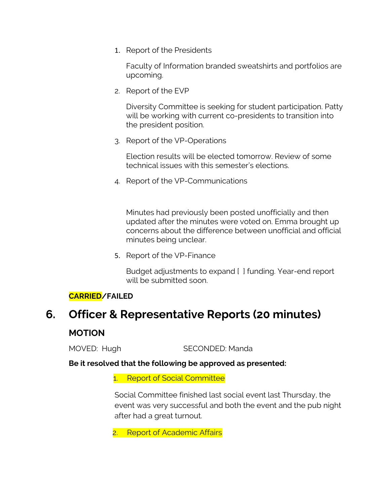1. Report of the Presidents

Faculty of Information branded sweatshirts and portfolios are upcoming.

2. Report of the EVP

Diversity Committee is seeking for student participation. Patty will be working with current co-presidents to transition into the president position.

3. Report of the VP-Operations

Election results will be elected tomorrow. Review of some technical issues with this semester's elections.

4. Report of the VP-Communications

Minutes had previously been posted unofficially and then updated after the minutes were voted on. Emma brought up concerns about the difference between unofficial and official minutes being unclear.

5. Report of the VP-Finance

Budget adjustments to expand [ ] funding. Year-end report will be submitted soon.

#### **CARRIED/FAILED**

# **6. Officer & Representative Reports (20 minutes) MOTION**

MOVED: Hugh SECONDED: Manda

**Be it resolved that the following be approved as presented:**

1. Report of Social Committee

Social Committee finished last social event last Thursday, the event was very successful and both the event and the pub night after had a great turnout.

2. Report of Academic Affairs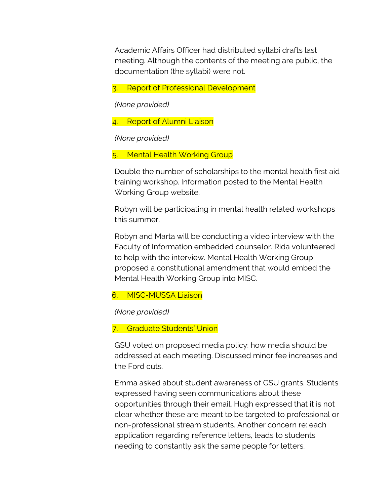Academic Affairs Officer had distributed syllabi drafts last meeting. Although the contents of the meeting are public, the documentation (the syllabi) were not.

3. Report of Professional Development

*(None provided)*

4. Report of Alumni Liaison

*(None provided)*

5. Mental Health Working Group

Double the number of scholarships to the mental health first aid training workshop. Information posted to the Mental Health Working Group website.

Robyn will be participating in mental health related workshops this summer.

Robyn and Marta will be conducting a video interview with the Faculty of Information embedded counselor. Rida volunteered to help with the interview. Mental Health Working Group proposed a constitutional amendment that would embed the Mental Health Working Group into MISC.

#### 6. MISC-MUSSA Liaison

*(None provided)*

7. Graduate Students' Union

GSU voted on proposed media policy: how media should be addressed at each meeting. Discussed minor fee increases and the Ford cuts.

Emma asked about student awareness of GSU grants. Students expressed having seen communications about these opportunities through their email. Hugh expressed that it is not clear whether these are meant to be targeted to professional or non-professional stream students. Another concern re: each application regarding reference letters, leads to students needing to constantly ask the same people for letters.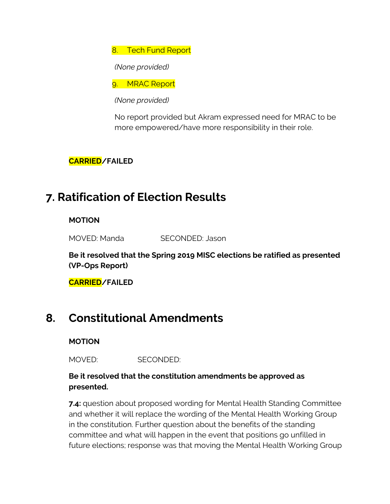8. Tech Fund Report

*(None provided)*

9. MRAC Report

*(None provided)*

No report provided but Akram expressed need for MRAC to be more empowered/have more responsibility in their role.

**CARRIED/FAILED**

# **7. Ratification of Election Results**

**MOTION**

MOVED: Manda SECONDED: Jason

**Be it resolved that the Spring 2019 MISC elections be ratified as presented (VP-Ops Report)**

**CARRIED/FAILED**

### **8. Constitutional Amendments**

**MOTION**

MOVED: SECONDED:

### **Be it resolved that the constitution amendments be approved as presented.**

**7.4:** question about proposed wording for Mental Health Standing Committee and whether it will replace the wording of the Mental Health Working Group in the constitution. Further question about the benefits of the standing committee and what will happen in the event that positions go unfilled in future elections; response was that moving the Mental Health Working Group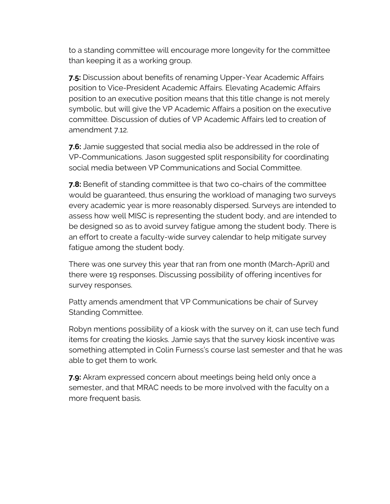to a standing committee will encourage more longevity for the committee than keeping it as a working group.

**7.5:** Discussion about benefits of renaming Upper-Year Academic Affairs position to Vice-President Academic Affairs. Elevating Academic Affairs position to an executive position means that this title change is not merely symbolic, but will give the VP Academic Affairs a position on the executive committee. Discussion of duties of VP Academic Affairs led to creation of amendment 7.12.

**7.6:** Jamie suggested that social media also be addressed in the role of VP-Communications. Jason suggested split responsibility for coordinating social media between VP Communications and Social Committee.

**7.8:** Benefit of standing committee is that two co-chairs of the committee would be guaranteed, thus ensuring the workload of managing two surveys every academic year is more reasonably dispersed. Surveys are intended to assess how well MISC is representing the student body, and are intended to be designed so as to avoid survey fatigue among the student body. There is an effort to create a faculty-wide survey calendar to help mitigate survey fatigue among the student body.

There was one survey this year that ran from one month (March-April) and there were 19 responses. Discussing possibility of offering incentives for survey responses.

Patty amends amendment that VP Communications be chair of Survey Standing Committee.

Robyn mentions possibility of a kiosk with the survey on it, can use tech fund items for creating the kiosks. Jamie says that the survey kiosk incentive was something attempted in Colin Furness's course last semester and that he was able to get them to work.

**7.9:** Akram expressed concern about meetings being held only once a semester, and that MRAC needs to be more involved with the faculty on a more frequent basis.